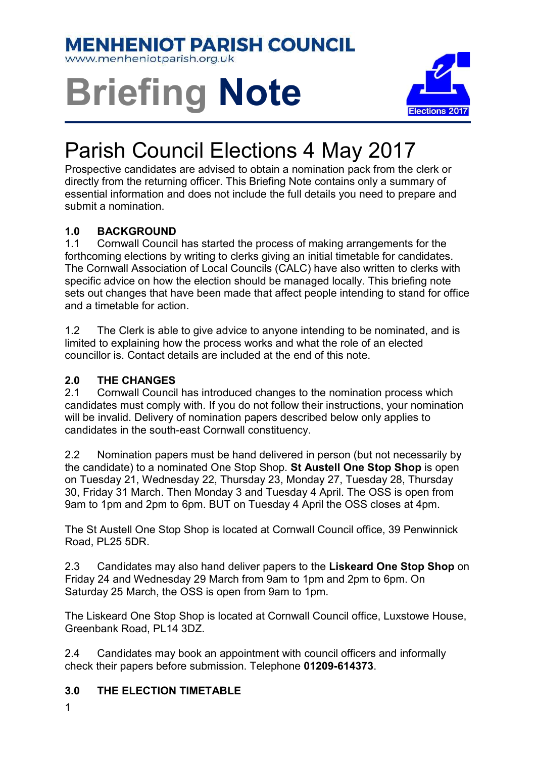### **MENHENIOT PARISH COUNCIL**

www.menheniotparish.org.uk

# Briefing Note



## Parish Council Elections 4 May 2017

Prospective candidates are advised to obtain a nomination pack from the clerk or directly from the returning officer. This Briefing Note contains only a summary of essential information and does not include the full details you need to prepare and submit a nomination.

#### 1.0 BACKGROUND

1.1 Cornwall Council has started the process of making arrangements for the forthcoming elections by writing to clerks giving an initial timetable for candidates. The Cornwall Association of Local Councils (CALC) have also written to clerks with specific advice on how the election should be managed locally. This briefing note sets out changes that have been made that affect people intending to stand for office and a timetable for action.

1.2 The Clerk is able to give advice to anyone intending to be nominated, and is limited to explaining how the process works and what the role of an elected councillor is. Contact details are included at the end of this note.

#### 2.0 THE CHANGES

2.1 Cornwall Council has introduced changes to the nomination process which candidates must comply with. If you do not follow their instructions, your nomination will be invalid. Delivery of nomination papers described below only applies to candidates in the south-east Cornwall constituency.

2.2 Nomination papers must be hand delivered in person (but not necessarily by the candidate) to a nominated One Stop Shop. St Austell One Stop Shop is open on Tuesday 21, Wednesday 22, Thursday 23, Monday 27, Tuesday 28, Thursday 30, Friday 31 March. Then Monday 3 and Tuesday 4 April. The OSS is open from 9am to 1pm and 2pm to 6pm. BUT on Tuesday 4 April the OSS closes at 4pm.

The St Austell One Stop Shop is located at Cornwall Council office, 39 Penwinnick Road, PL25 5DR.

2.3 Candidates may also hand deliver papers to the Liskeard One Stop Shop on Friday 24 and Wednesday 29 March from 9am to 1pm and 2pm to 6pm. On Saturday 25 March, the OSS is open from 9am to 1pm.

The Liskeard One Stop Shop is located at Cornwall Council office, Luxstowe House, Greenbank Road, PL14 3DZ.

2.4 Candidates may book an appointment with council officers and informally check their papers before submission. Telephone 01209-614373.

#### 3.0 THE ELECTION TIMETABLE

1